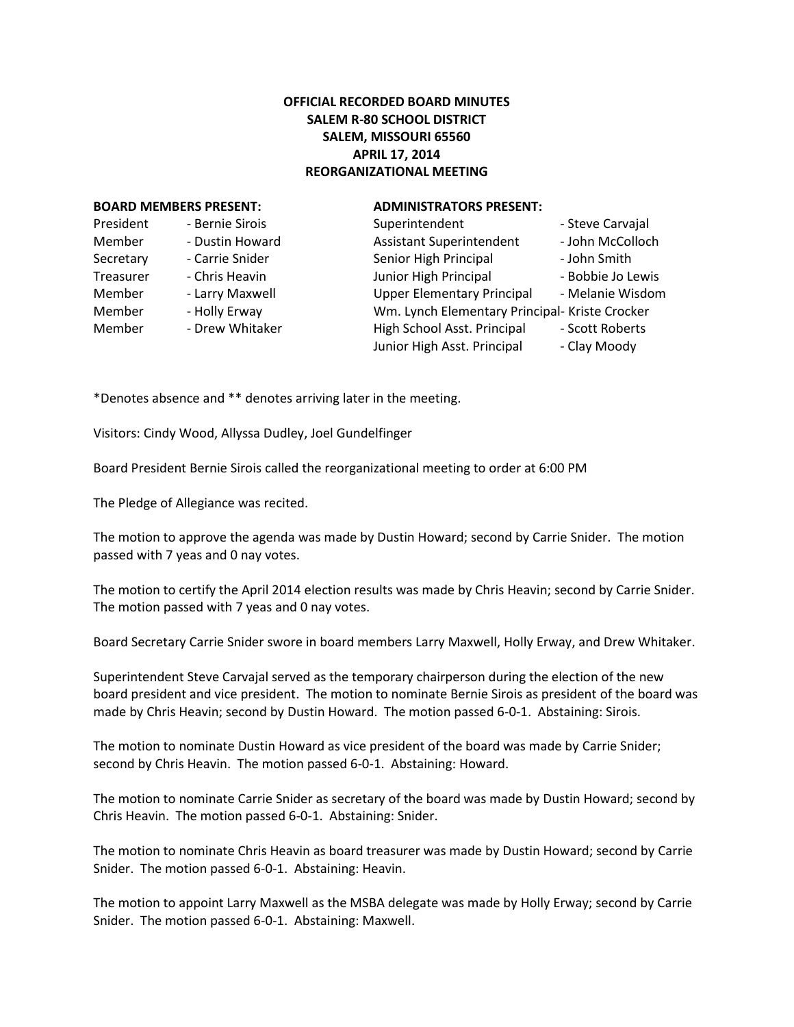## **OFFICIAL RECORDED BOARD MINUTES SALEM R-80 SCHOOL DISTRICT SALEM, MISSOURI 65560 APRIL 17, 2014 REORGANIZATIONAL MEETING**

## **BOARD MEMBERS PRESENT: ADMINISTRATORS PRESENT:**

## President - Bernie Sirois Member - Dustin Howard Secretary - Carrie Snider Treasurer - Chris Heavin Member - Larry Maxwell Member - Holly Erway Member - Drew Whitaker

| Superintendent                                 | - Steve Carvajal  |
|------------------------------------------------|-------------------|
| Assistant Superintendent                       | - John McColloch  |
| Senior High Principal                          | - John Smith      |
| Junior High Principal                          | - Bobbie Jo Lewis |
| <b>Upper Elementary Principal</b>              | - Melanie Wisdom  |
| Wm. Lynch Elementary Principal- Kriste Crocker |                   |
| High School Asst. Principal                    | - Scott Roberts   |
| Junior High Asst. Principal                    | - Clay Moody      |
|                                                |                   |

\*Denotes absence and \*\* denotes arriving later in the meeting.

Visitors: Cindy Wood, Allyssa Dudley, Joel Gundelfinger

Board President Bernie Sirois called the reorganizational meeting to order at 6:00 PM

The Pledge of Allegiance was recited.

The motion to approve the agenda was made by Dustin Howard; second by Carrie Snider. The motion passed with 7 yeas and 0 nay votes.

The motion to certify the April 2014 election results was made by Chris Heavin; second by Carrie Snider. The motion passed with 7 yeas and 0 nay votes.

Board Secretary Carrie Snider swore in board members Larry Maxwell, Holly Erway, and Drew Whitaker.

Superintendent Steve Carvajal served as the temporary chairperson during the election of the new board president and vice president. The motion to nominate Bernie Sirois as president of the board was made by Chris Heavin; second by Dustin Howard. The motion passed 6-0-1. Abstaining: Sirois.

The motion to nominate Dustin Howard as vice president of the board was made by Carrie Snider; second by Chris Heavin. The motion passed 6-0-1. Abstaining: Howard.

The motion to nominate Carrie Snider as secretary of the board was made by Dustin Howard; second by Chris Heavin. The motion passed 6-0-1. Abstaining: Snider.

The motion to nominate Chris Heavin as board treasurer was made by Dustin Howard; second by Carrie Snider. The motion passed 6-0-1. Abstaining: Heavin.

The motion to appoint Larry Maxwell as the MSBA delegate was made by Holly Erway; second by Carrie Snider. The motion passed 6-0-1. Abstaining: Maxwell.